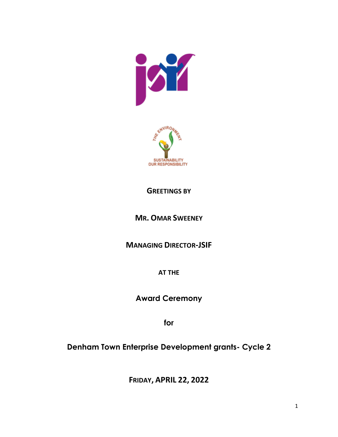



## **GREETINGS BY**

## **MR. OMAR SWEENEY**

**MANAGING DIRECTOR-JSIF**

**AT THE** 

**Award Ceremony**

**for** 

**Denham Town Enterprise Development grants- Cycle 2**

**FRIDAY, APRIL 22, 2022**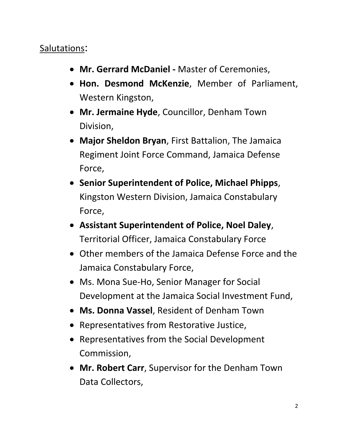## Salutations:

- **Mr. Gerrard McDaniel -** Master of Ceremonies,
- **Hon. Desmond McKenzie**, Member of Parliament, Western Kingston,
- **Mr. Jermaine Hyde**, Councillor, Denham Town Division,
- **Major Sheldon Bryan**, First Battalion, The Jamaica Regiment Joint Force Command, Jamaica Defense Force,
- **Senior Superintendent of Police, Michael Phipps**, Kingston Western Division, Jamaica Constabulary Force,
- **Assistant Superintendent of Police, Noel Daley**, Territorial Officer, Jamaica Constabulary Force
- Other members of the Jamaica Defense Force and the Jamaica Constabulary Force,
- Ms. Mona Sue-Ho, Senior Manager for Social Development at the Jamaica Social Investment Fund,
- **Ms. Donna Vassel**, Resident of Denham Town
- Representatives from Restorative Justice,
- Representatives from the Social Development Commission,
- **Mr. Robert Carr**, Supervisor for the Denham Town Data Collectors,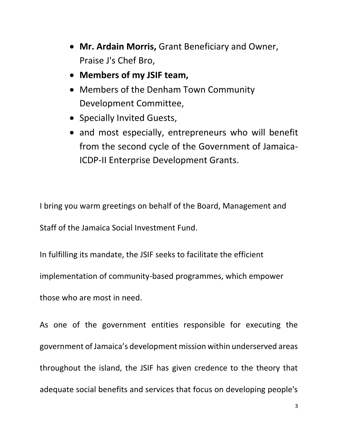- **Mr. Ardain Morris,** Grant Beneficiary and Owner, Praise J's Chef Bro,
- **Members of my JSIF team,**
- Members of the Denham Town Community Development Committee,
- Specially Invited Guests,
- and most especially, entrepreneurs who will benefit from the second cycle of the Government of Jamaica-ICDP-II Enterprise Development Grants.

I bring you warm greetings on behalf of the Board, Management and Staff of the Jamaica Social Investment Fund.

In fulfilling its mandate, the JSIF seeks to facilitate the efficient implementation of community-based programmes, which empower those who are most in need.

As one of the government entities responsible for executing the government of Jamaica's development mission within underserved areas throughout the island, the JSIF has given credence to the theory that adequate social benefits and services that focus on developing people's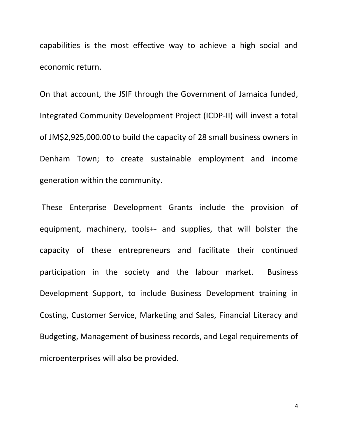capabilities is the most effective way to achieve a high social and economic return.

On that account, the JSIF through the Government of Jamaica funded, Integrated Community Development Project (ICDP-II) will invest a total of JM\$2,925,000.00 to build the capacity of 28 small business owners in Denham Town; to create sustainable employment and income generation within the community.

These Enterprise Development Grants include the provision of equipment, machinery, tools+- and supplies, that will bolster the capacity of these entrepreneurs and facilitate their continued participation in the society and the labour market. Business Development Support, to include Business Development training in Costing, Customer Service, Marketing and Sales, Financial Literacy and Budgeting, Management of business records, and Legal requirements of microenterprises will also be provided.

4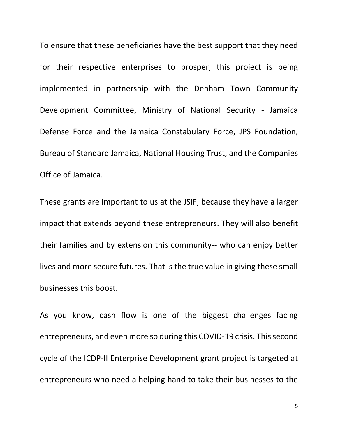To ensure that these beneficiaries have the best support that they need for their respective enterprises to prosper, this project is being implemented in partnership with the Denham Town Community Development Committee, Ministry of National Security - Jamaica Defense Force and the Jamaica Constabulary Force, JPS Foundation, Bureau of Standard Jamaica, National Housing Trust, and the Companies Office of Jamaica.

These grants are important to us at the JSIF, because they have a larger impact that extends beyond these entrepreneurs. They will also benefit their families and by extension this community-- who can enjoy better lives and more secure futures. That is the true value in giving these small businesses this boost.

As you know, cash flow is one of the biggest challenges facing entrepreneurs, and even more so during this COVID-19 crisis. This second cycle of the ICDP-II Enterprise Development grant project is targeted at entrepreneurs who need a helping hand to take their businesses to the

5